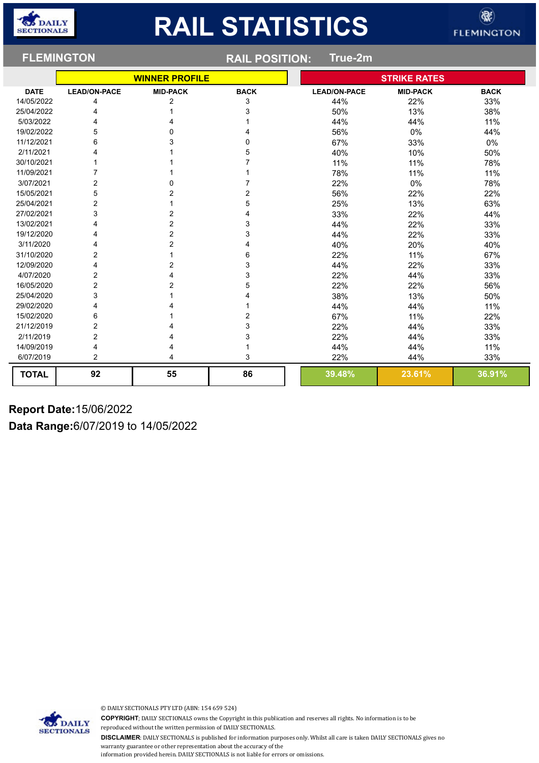| <b>FLEMINGTON</b> |                     |                       | <b>RAIL POSITION:</b> |  | True-2m             |                     |             |
|-------------------|---------------------|-----------------------|-----------------------|--|---------------------|---------------------|-------------|
|                   |                     | <b>WINNER PROFILE</b> |                       |  |                     | <b>STRIKE RATES</b> |             |
| <b>DATE</b>       | <b>LEAD/ON-PACE</b> | <b>MID-PACK</b>       | <b>BACK</b>           |  | <b>LEAD/ON-PACE</b> | <b>MID-PACK</b>     | <b>BACK</b> |
| 14/05/2022        | 4                   | 2                     | 3                     |  | 44%                 | 22%                 | 33%         |
| 25/04/2022        | 4                   |                       | 3                     |  | 50%                 | 13%                 | 38%         |
| 5/03/2022         | 4                   |                       |                       |  | 44%                 | 44%                 | 11%         |
| 19/02/2022        | 5                   | 0                     | 4                     |  | 56%                 | 0%                  | 44%         |
| 11/12/2021        | 6                   | 3                     | 0                     |  | 67%                 | 33%                 | 0%          |
| 2/11/2021         |                     |                       | 5                     |  | 40%                 | 10%                 | 50%         |
| 30/10/2021        |                     |                       | 7                     |  | 11%                 | 11%                 | 78%         |
| 11/09/2021        |                     |                       |                       |  | 78%                 | 11%                 | 11%         |
| 3/07/2021         | 2                   | 0                     |                       |  | 22%                 | 0%                  | 78%         |
| 15/05/2021        | 5                   | 2                     | 2                     |  | 56%                 | 22%                 | 22%         |
| 25/04/2021        | $\overline{2}$      |                       | 5                     |  | 25%                 | 13%                 | 63%         |
| 27/02/2021        | 3                   | $\overline{2}$        | 4                     |  | 33%                 | 22%                 | 44%         |
| 13/02/2021        | 4                   | 2                     | 3                     |  | 44%                 | 22%                 | 33%         |
| 19/12/2020        | 4                   | $\overline{2}$        | 3                     |  | 44%                 | 22%                 | 33%         |
| 3/11/2020         | 4                   | $\overline{2}$        | 4                     |  | 40%                 | 20%                 | 40%         |
| 31/10/2020        | 2                   |                       | 6                     |  | 22%                 | 11%                 | 67%         |
| 12/09/2020        | 4                   | 2                     | 3                     |  | 44%                 | 22%                 | 33%         |
| 4/07/2020         | 2                   |                       | 3                     |  | 22%                 | 44%                 | 33%         |
| 16/05/2020        | $\overline{c}$      | 2                     | 5                     |  | 22%                 | 22%                 | 56%         |
| 25/04/2020        | 3                   |                       | 4                     |  | 38%                 | 13%                 | 50%         |
| 29/02/2020        | 4                   |                       |                       |  | 44%                 | 44%                 | 11%         |
| 15/02/2020        | 6                   |                       | 2                     |  | 67%                 | 11%                 | 22%         |
| 21/12/2019        | 2                   |                       | 3                     |  | 22%                 | 44%                 | 33%         |
| 2/11/2019         | $\overline{2}$      |                       | 3                     |  | 22%                 | 44%                 | 33%         |
| 14/09/2019        | 4                   |                       |                       |  | 44%                 | 44%                 | 11%         |
| 6/07/2019         | 2                   | 4                     | 3                     |  | 22%                 | 44%                 | 33%         |
| <b>TOTAL</b>      | 92                  | 55                    | 86                    |  | 39.48%              | 23.61%              | 36.91%      |

#### **Report Date:**15/06/2022

**Data Range:**6/07/2019 to 14/05/2022

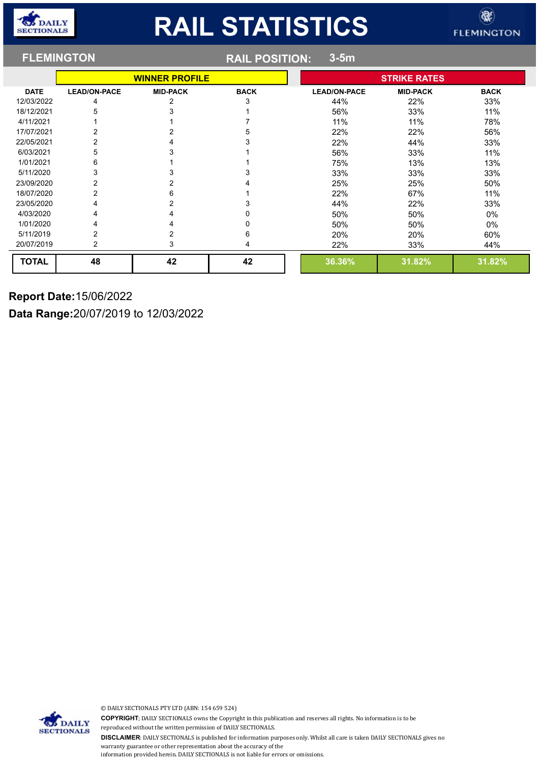|              | <b>FLEMINGTON</b>     |                 | <b>RAIL POSITION:</b> | $3-5m$              |                 |             |  |
|--------------|-----------------------|-----------------|-----------------------|---------------------|-----------------|-------------|--|
|              | <b>WINNER PROFILE</b> |                 |                       | <b>STRIKE RATES</b> |                 |             |  |
| <b>DATE</b>  | <b>LEAD/ON-PACE</b>   | <b>MID-PACK</b> | <b>BACK</b>           | <b>LEAD/ON-PACE</b> | <b>MID-PACK</b> | <b>BACK</b> |  |
| 12/03/2022   | 4                     | 2               | 3                     | 44%                 | 22%             | 33%         |  |
| 18/12/2021   | 5                     |                 |                       | 56%                 | 33%             | 11%         |  |
| 4/11/2021    |                       |                 |                       | 11%                 | 11%             | 78%         |  |
| 17/07/2021   |                       |                 |                       | 22%                 | 22%             | 56%         |  |
| 22/05/2021   | $\mathcal{P}$         |                 |                       | 22%                 | 44%             | 33%         |  |
| 6/03/2021    | 5                     |                 |                       | 56%                 | 33%             | 11%         |  |
| 1/01/2021    | 6                     |                 |                       | 75%                 | 13%             | 13%         |  |
| 5/11/2020    | 3                     | 3               |                       | 33%                 | 33%             | 33%         |  |
| 23/09/2020   | 2                     |                 |                       | 25%                 | 25%             | 50%         |  |
| 18/07/2020   |                       | h               |                       | 22%                 | 67%             | 11%         |  |
| 23/05/2020   |                       |                 |                       | 44%                 | 22%             | 33%         |  |
| 4/03/2020    |                       |                 |                       | 50%                 | 50%             | $0\%$       |  |
| 1/01/2020    |                       |                 | 0                     | 50%                 | 50%             | $0\%$       |  |
| 5/11/2019    | 2                     |                 | 6                     | 20%                 | 20%             | 60%         |  |
| 20/07/2019   | 2                     | 3               | 4                     | 22%                 | 33%             | 44%         |  |
| <b>TOTAL</b> | 48                    | 42              | 42                    | 36.36%              | 31.82%          | 31.82%      |  |

### **Report Date:**15/06/2022

**Data Range:**20/07/2019 to 12/03/2022

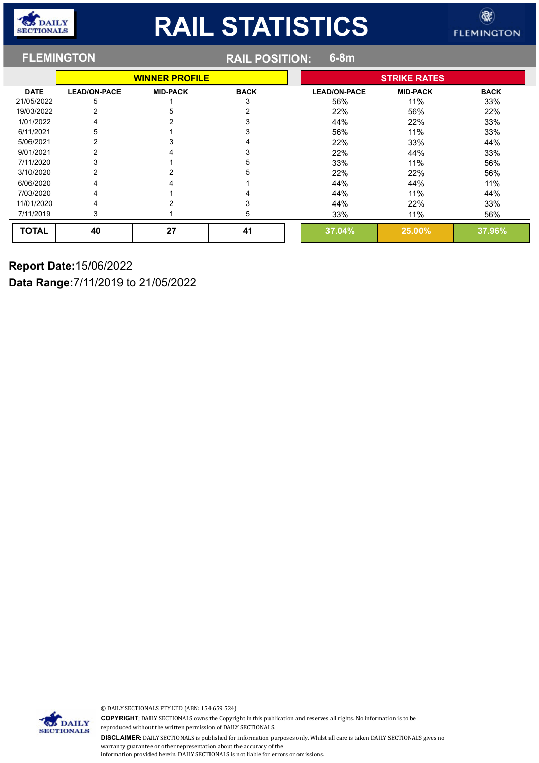|              | <b>FLEMINGTON</b>     |                 | <b>RAIL POSITION:</b><br>$6-8m$ |  |                     |                 |             |  |
|--------------|-----------------------|-----------------|---------------------------------|--|---------------------|-----------------|-------------|--|
|              | <b>WINNER PROFILE</b> |                 |                                 |  | <b>STRIKE RATES</b> |                 |             |  |
| <b>DATE</b>  | <b>LEAD/ON-PACE</b>   | <b>MID-PACK</b> | <b>BACK</b>                     |  | <b>LEAD/ON-PACE</b> | <b>MID-PACK</b> | <b>BACK</b> |  |
| 21/05/2022   | 5                     |                 | 3                               |  | 56%                 | 11%             | 33%         |  |
| 19/03/2022   |                       |                 |                                 |  | 22%                 | 56%             | 22%         |  |
| 1/01/2022    |                       |                 |                                 |  | 44%                 | 22%             | 33%         |  |
| 6/11/2021    | 5                     |                 |                                 |  | 56%                 | 11%             | 33%         |  |
| 5/06/2021    |                       |                 |                                 |  | 22%                 | 33%             | 44%         |  |
| 9/01/2021    |                       |                 | 3                               |  | 22%                 | 44%             | 33%         |  |
| 7/11/2020    |                       |                 | h                               |  | 33%                 | 11%             | 56%         |  |
| 3/10/2020    |                       |                 |                                 |  | 22%                 | 22%             | 56%         |  |
| 6/06/2020    |                       |                 |                                 |  | 44%                 | 44%             | 11%         |  |
| 7/03/2020    |                       |                 |                                 |  | 44%                 | 11%             | 44%         |  |
| 11/01/2020   | 4                     |                 |                                 |  | 44%                 | 22%             | 33%         |  |
| 7/11/2019    | 3                     |                 | 5                               |  | 33%                 | 11%             | 56%         |  |
| <b>TOTAL</b> | 40                    | 27              | 41                              |  | 37.04%              | 25.00%          | 37.96%      |  |

#### **Report Date:**15/06/2022

**Data Range:**7/11/2019 to 21/05/2022

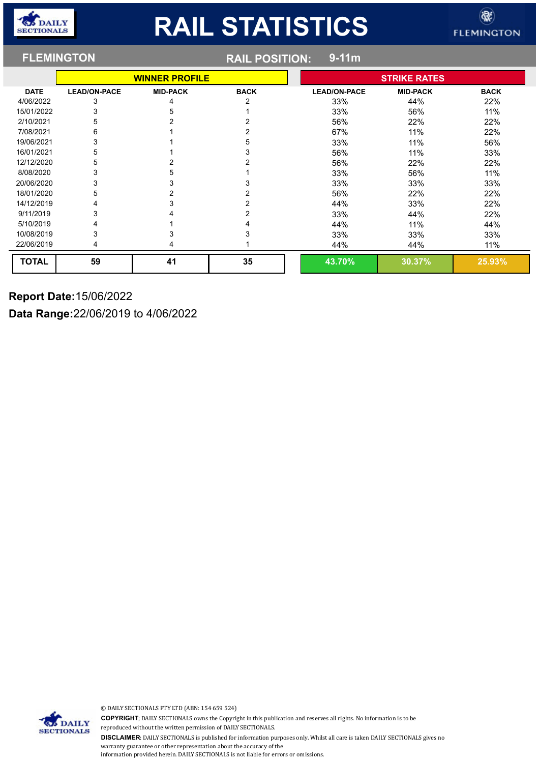#### **FLEMINGTON RAIL POSITION: 9-11m WINNER PROFILE STRIKE RATES DATE LEAD/ON-PACE MID-PACK BACK LEAD/ON-PACE MID-PACK BACK** 4/06/2022 3 4 2 33% 44% 22% 15/01/2022 3 3 5 5 1 33% 56% 56% 11% 2/10/2021 5 2 2 56% 22% 22% 7/08/2021 6 1 2 67% 11% 22% 19/06/2021 3 3 1 56% 56% 56% 33% 11% 56% 16/01/2021 5 1 1 3 56% 11% 33% 33% 12/12/2020 5 2 2 2 2 56% 22% 22% 22% 22% 8/08/2020 3 5 1 33% 56% 11% 20/06/2020 3 3 3 33% 33% 33% 18/01/2020 5 2 2 2 2 56% 22% 22% 22% 22% 22% 14/12/2019 4 4 3 3 2 44% 44% 33% 22% 9/11/2019 3 4 2 33% 44% 22% 5/10/2019 4 1 4 44% 11% 44% 10/08/2019 3 3 3 33% 33% 33% 22/06/2019 4 4 1 44% 44% 11% **TOTAL 59 41 35 43.70% 30.37% 25.93%**

#### **Report Date:**15/06/2022

**Data Range:**22/06/2019 to 4/06/2022